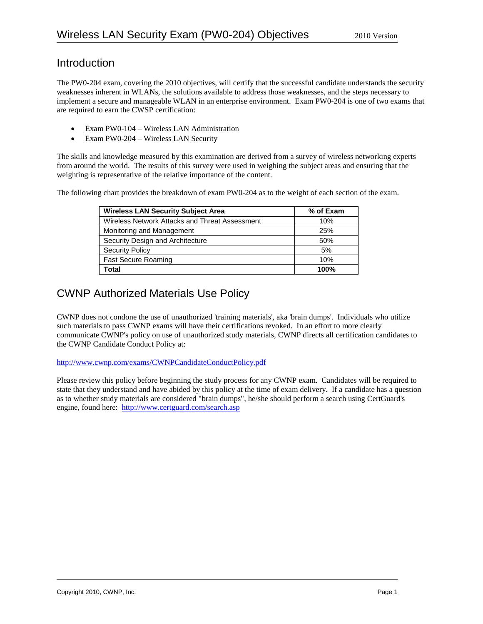### Introduction

The PW0-204 exam, covering the 2010 objectives, will certify that the successful candidate understands the security weaknesses inherent in WLANs, the solutions available to address those weaknesses, and the steps necessary to implement a secure and manageable WLAN in an enterprise environment. Exam PW0-204 is one of two exams that are required to earn the CWSP certification:

- Exam PW0-104 Wireless LAN Administration
- Exam PW0-204 Wireless LAN Security

The skills and knowledge measured by this examination are derived from a survey of wireless networking experts from around the world. The results of this survey were used in weighing the subject areas and ensuring that the weighting is representative of the relative importance of the content.

The following chart provides the breakdown of exam PW0-204 as to the weight of each section of the exam.

| <b>Wireless LAN Security Subject Area</b>      | % of Exam |
|------------------------------------------------|-----------|
| Wireless Network Attacks and Threat Assessment | 10%       |
| Monitoring and Management                      | 25%       |
| Security Design and Architecture               | 50%       |
| <b>Security Policy</b>                         | 5%        |
| <b>Fast Secure Roaming</b>                     | 10%       |
| Total                                          | 100%      |

## CWNP Authorized Materials Use Policy

CWNP does not condone the use of unauthorized 'training materials', aka 'brain dumps'. Individuals who utilize such materials to pass CWNP exams will have their certifications revoked. In an effort to more clearly communicate CWNP's policy on use of unauthorized study materials, CWNP directs all certification candidates to the CWNP Candidate Conduct Policy at:

<http://www.cwnp.com/exams/CWNPCandidateConductPolicy.pdf>

Please review this policy before beginning the study process for any CWNP exam. Candidates will be required to state that they understand and have abided by this policy at the time of exam delivery. If a candidate has a question as to whether study materials are considered "brain dumps", he/she should perform a search using CertGuard's engine, found here: <http://www.certguard.com/search.asp>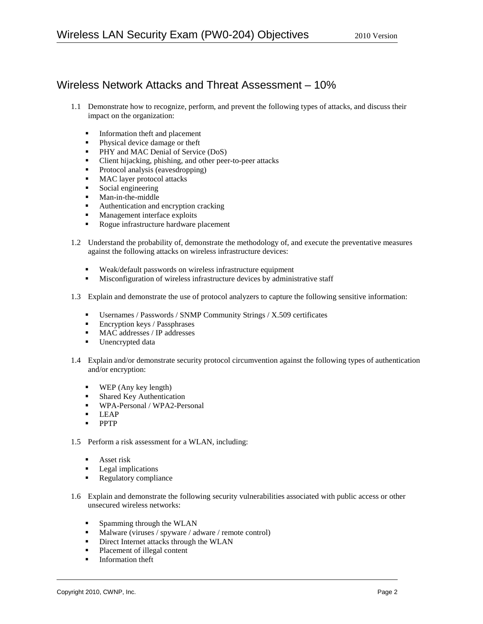# Wireless Network Attacks and Threat Assessment – 10%

- 1.1 Demonstrate how to recognize, perform, and prevent the following types of attacks, and discuss their impact on the organization:
	- **Information theft and placement**
	- **Physical device damage or theft**
	- **PHY and MAC Denial of Service (DoS)**
	- Client hijacking, phishing, and other peer-to-peer attacks
	- Protocol analysis (eavesdropping)<br>• MAC laver protocol attacks
	- MAC layer protocol attacks
	- Social engineering
	- **Man-in-the-middle**
	- Authentication and encryption cracking
	- **Management interface exploits**
	- Rogue infrastructure hardware placement
- 1.2 Understand the probability of, demonstrate the methodology of, and execute the preventative measures against the following attacks on wireless infrastructure devices:
	- Weak/default passwords on wireless infrastructure equipment
	- Misconfiguration of wireless infrastructure devices by administrative staff
- 1.3 Explain and demonstrate the use of protocol analyzers to capture the following sensitive information:
	- Usernames / Passwords / SNMP Community Strings / X.509 certificates
	- $\blacksquare$  Encryption keys / Passphrases
	- MAC addresses / IP addresses
	- Unencrypted data
- 1.4 Explain and/or demonstrate security protocol circumvention against the following types of authentication and/or encryption:
	- **WEP** (Any key length)
	- Shared Key Authentication
	- WPA-Personal / WPA2-Personal
	- **LEAP**
	- **PPTP**
- 1.5 Perform a risk assessment for a WLAN, including:
	- **Asset risk**
	- **Legal implications**
	- **Regulatory compliance**
- 1.6 Explain and demonstrate the following security vulnerabilities associated with public access or other unsecured wireless networks:
	- **Spamming through the WLAN**
	- Malware (viruses / spyware / adware / remote control)
	- **Direct Internet attacks through the WLAN**
	- Placement of illegal content
	- $\blacksquare$  Information theft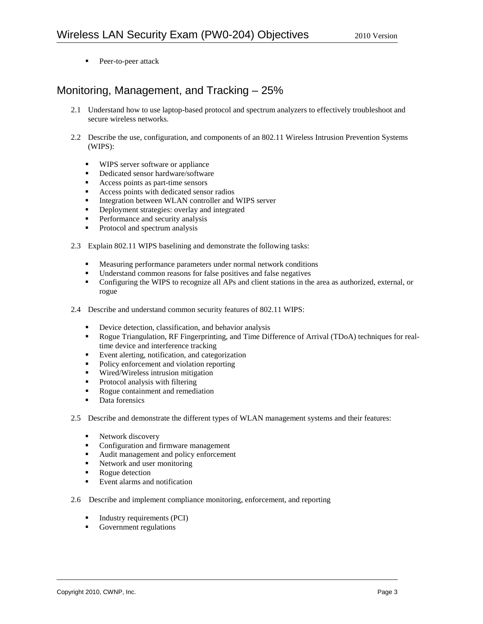**Peer-to-peer attack** 

# Monitoring, Management, and Tracking – 25%

- 2.1 Understand how to use laptop-based protocol and spectrum analyzers to effectively troubleshoot and secure wireless networks.
- 2.2 Describe the use, configuration, and components of an 802.11 Wireless Intrusion Prevention Systems (WIPS):
	- WIPS server software or appliance
	- **Dedicated sensor hardware/software**
	- Access points as part-time sensors
	- Access points with dedicated sensor radios
	- Integration between WLAN controller and WIPS server
	- **•** Deployment strategies: overlay and integrated
	- Performance and security analysis
	- Protocol and spectrum analysis
- 2.3 Explain 802.11 WIPS baselining and demonstrate the following tasks:
	- Measuring performance parameters under normal network conditions
	- Understand common reasons for false positives and false negatives
	- Configuring the WIPS to recognize all APs and client stations in the area as authorized, external, or rogue
- 2.4 Describe and understand common security features of 802.11 WIPS:
	- Device detection, classification, and behavior analysis
	- Rogue Triangulation, RF Fingerprinting, and Time Difference of Arrival (TDoA) techniques for realtime device and interference tracking
	- Event alerting, notification, and categorization
	- Policy enforcement and violation reporting
	- Wired/Wireless intrusion mitigation<br>■ Protocol analysis with filtering
	- Protocol analysis with filtering
	- Rogue containment and remediation
	- Data forensics
- 2.5 Describe and demonstrate the different types of WLAN management systems and their features:
	- Network discovery<br>• Configuration and f
	- Configuration and firmware management
	- Audit management and policy enforcement
	- Network and user monitoring
	- Rogue detection
	- **Event alarms and notification**
- 2.6 Describe and implement compliance monitoring, enforcement, and reporting
	- Industry requirements (PCI)
	- Government regulations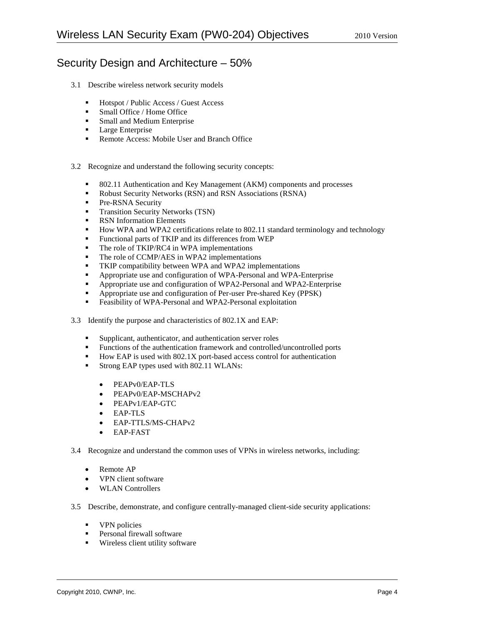## Security Design and Architecture – 50%

- 3.1 Describe wireless network security models
	- Hotspot / Public Access / Guest Access
	- Small Office / Home Office
	- **Small and Medium Enterprise**
	- **Large Enterprise**
	- **Remote Access: Mobile User and Branch Office**
- 3.2 Recognize and understand the following security concepts:
	- 802.11 Authentication and Key Management (AKM) components and processes
	- Robust Security Networks (RSN) and RSN Associations (RSNA)
	- **Pre-RSNA Security**
	- **Transition Security Networks (TSN)**
	- **RSN** Information Elements<br> $H_{\text{OW}}$  WPA and WPA2 certi-
	- How WPA and WPA2 certifications relate to 802.11 standard terminology and technology
	- Functional parts of TKIP and its differences from WEP
	- The role of TKIP/RC4 in WPA implementations
	- The role of CCMP/AES in WPA2 implementations
	- TKIP compatibility between WPA and WPA2 implementations
	- Appropriate use and configuration of WPA-Personal and WPA-Enterprise
	- Appropriate use and configuration of WPA2-Personal and WPA2-Enterprise
	- **Appropriate use and configuration of Per-user Pre-shared Key (PPSK)**
	- Feasibility of WPA-Personal and WPA2-Personal exploitation
- 3.3 Identify the purpose and characteristics of 802.1X and EAP:
	- Supplicant, authenticator, and authentication server roles
	- Functions of the authentication framework and controlled/uncontrolled ports
	- $\blacksquare$  How EAP is used with 802.1X port-based access control for authentication
	- Strong EAP types used with 802.11 WLANs:
		- PEAPv0/EAP-TLS
		- PEAPv0/EAP-MSCHAPv2
		- PEAPv1/EAP-GTC
		- EAP-TLS
		- EAP-TTLS/MS-CHAPv2
		- EAP-FAST
- 3.4 Recognize and understand the common uses of VPNs in wireless networks, including:
	- Remote AP
	- VPN client software
	- WLAN Controllers
- 3.5 Describe, demonstrate, and configure centrally-managed client-side security applications:
	- **vPN** policies
	- **Personal firewall software**
	- **Wireless client utility software**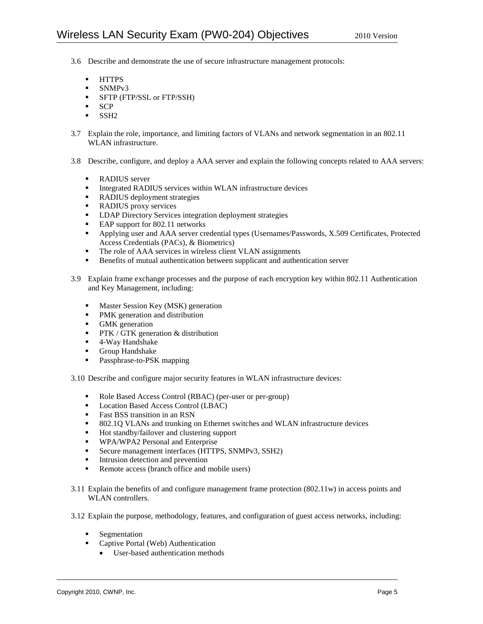- 3.6 Describe and demonstrate the use of secure infrastructure management protocols:
	- HTTPS
	- **SNMPv3**
	- **SFTP (FTP/SSL or FTP/SSH)**
	- SCP
	- $-$  SSH<sub>2</sub>
- 3.7 Explain the role, importance, and limiting factors of VLANs and network segmentation in an 802.11 WLAN infrastructure.
- 3.8 Describe, configure, and deploy a AAA server and explain the following concepts related to AAA servers:
	-
	- RADIUS server<br>• Integrated RADI Integrated RADIUS services within WLAN infrastructure devices
	- RADIUS deployment strategies
	- RADIUS proxy services
	- **-** LDAP Directory Services integration deployment strategies
	- EAP support for 802.11 networks
	- Applying user and AAA server credential types (Usernames/Passwords, X.509 Certificates, Protected Access Credentials (PACs), & Biometrics)
	- The role of AAA services in wireless client VLAN assignments
	- **Benefits of mutual authentication between supplicant and authentication server**
- 3.9 Explain frame exchange processes and the purpose of each encryption key within 802.11 Authentication and Key Management, including:
	- **Master Session Key (MSK) generation**
	- PMK generation and distribution
	- GMK generation<br>PTK / GTK gener
	- PTK / GTK generation & distribution
	- 4-Way Handshake
	- **Group Handshake**
	- **Passphrase-to-PSK mapping**

3.10 Describe and configure major security features in WLAN infrastructure devices:

- Role Based Access Control (RBAC) (per-user or per-group)
- **Location Based Access Control (LBAC)**
- Fast BSS transition in an RSN<br> $\overline{S}$  802.10 VI ANs and trunking c
- 802.1Q VLANs and trunking on Ethernet switches and WLAN infrastructure devices
- Hot standby/failover and clustering support
- **WPA/WPA2 Personal and Enterprise**
- Secure management interfaces (HTTPS, SNMPv3, SSH2)
- Intrusion detection and prevention
- Remote access (branch office and mobile users)
- 3.11 Explain the benefits of and configure management frame protection (802.11w) in access points and WLAN controllers.
- 3.12 Explain the purpose, methodology, features, and configuration of guest access networks, including:
	- **Segmentation** 
		- Captive Portal (Web) Authentication
			- User-based authentication methods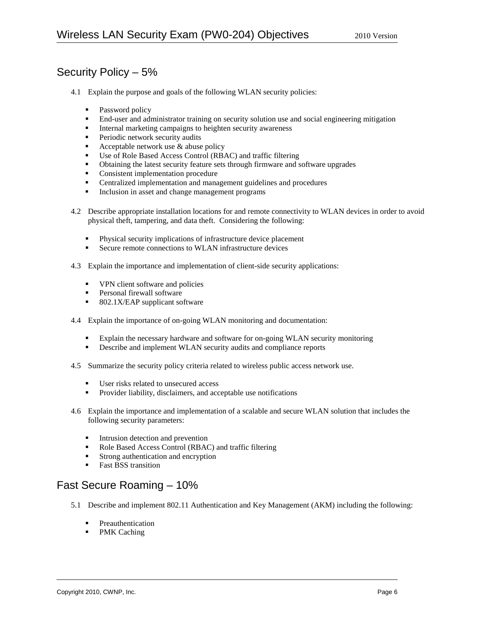# Security Policy – 5%

- 4.1 Explain the purpose and goals of the following WLAN security policies:
	- Password policy
	- End-user and administrator training on security solution use and social engineering mitigation
	- Internal marketing campaigns to heighten security awareness
	- **Periodic network security audits**
	- Acceptable network use  $&$  abuse policy
	- Use of Role Based Access Control (RBAC) and traffic filtering
	- Obtaining the latest security feature sets through firmware and software upgrades
	- **Consistent implementation procedure**
	- **EXECUTE:** Centralized implementation and management guidelines and procedures
	- Inclusion in asset and change management programs
- 4.2 Describe appropriate installation locations for and remote connectivity to WLAN devices in order to avoid physical theft, tampering, and data theft. Considering the following:
	- Physical security implications of infrastructure device placement
	- Secure remote connections to WLAN infrastructure devices
- 4.3 Explain the importance and implementation of client-side security applications:
	- VPN client software and policies
	- **Personal firewall software**
	- 802.1X/EAP supplicant software
- 4.4 Explain the importance of on-going WLAN monitoring and documentation:
	- Explain the necessary hardware and software for on-going WLAN security monitoring
	- Describe and implement WLAN security audits and compliance reports
- 4.5 Summarize the security policy criteria related to wireless public access network use.
	- User risks related to unsecured access
	- **Provider liability, disclaimers, and acceptable use notifications**
- 4.6 Explain the importance and implementation of a scalable and secure WLAN solution that includes the following security parameters:
	- **Intrusion detection and prevention**
	- Role Based Access Control (RBAC) and traffic filtering
	- **Strong authentication and encryption**
	- **Fast BSS transition**

### Fast Secure Roaming – 10%

- 5.1 Describe and implement 802.11 Authentication and Key Management (AKM) including the following:
	- **•** Preauthentication
	- PMK Caching